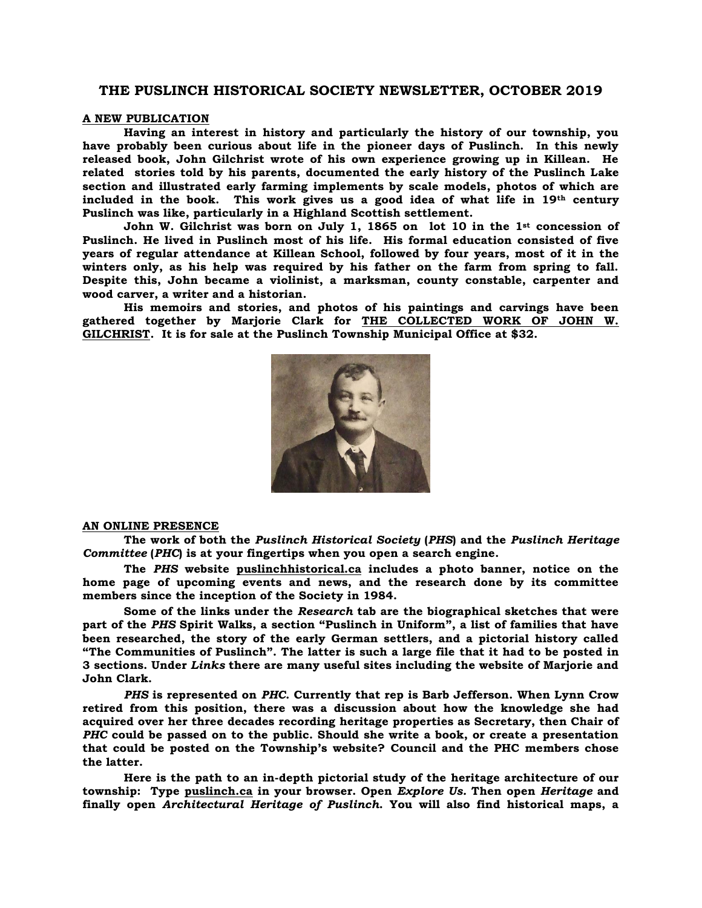# **THE PUSLINCH HISTORICAL SOCIETY NEWSLETTER, OCTOBER 2019**

## **A NEW PUBLICATION**

**Having an interest in history and particularly the history of our township, you have probably been curious about life in the pioneer days of Puslinch. In this newly released book, John Gilchrist wrote of his own experience growing up in Killean. He related stories told by his parents, documented the early history of the Puslinch Lake section and illustrated early farming implements by scale models, photos of which are included in the book. This work gives us a good idea of what life in 19th century Puslinch was like, particularly in a Highland Scottish settlement.** 

**John W. Gilchrist was born on July 1, 1865 on lot 10 in the 1st concession of Puslinch. He lived in Puslinch most of his life. His formal education consisted of five years of regular attendance at Killean School, followed by four years, most of it in the winters only, as his help was required by his father on the farm from spring to fall. Despite this, John became a violinist, a marksman, county constable, carpenter and wood carver, a writer and a historian.**

**His memoirs and stories, and photos of his paintings and carvings have been gathered together by Marjorie Clark for THE COLLECTED WORK OF JOHN W. GILCHRIST. It is for sale at the Puslinch Township Municipal Office at \$32.** 



#### **AN ONLINE PRESENCE**

**The work of both the** *Puslinch Historical Society* **(***PHS***) and the** *Puslinch Heritage Committee* **(***PHC***) is at your fingertips when you open a search engine.**

**The** *PHS* **website puslinchhistorical.ca includes a photo banner, notice on the home page of upcoming events and news, and the research done by its committee members since the inception of the Society in 1984.**

**Some of the links under the** *Research* **tab are the biographical sketches that were part of the** *PHS* **Spirit Walks, a section "Puslinch in Uniform", a list of families that have been researched, the story of the early German settlers, and a pictorial history called "The Communities of Puslinch". The latter is such a large file that it had to be posted in 3 sections. Under** *Links* **there are many useful sites including the website of Marjorie and John Clark.**

*PHS* **is represented on** *PHC***. Currently that rep is Barb Jefferson. When Lynn Crow retired from this position, there was a discussion about how the knowledge she had acquired over her three decades recording heritage properties as Secretary, then Chair of**  *PHC* **could be passed on to the public. Should she write a book, or create a presentation that could be posted on the Township's website? Council and the PHC members chose the latter.**

**Here is the path to an in-depth pictorial study of the heritage architecture of our township: Type puslinch.ca in your browser. Open** *Explore Us.* **Then open** *Heritage* **and finally open** *Architectural Heritage of Puslinch***. You will also find historical maps, a**